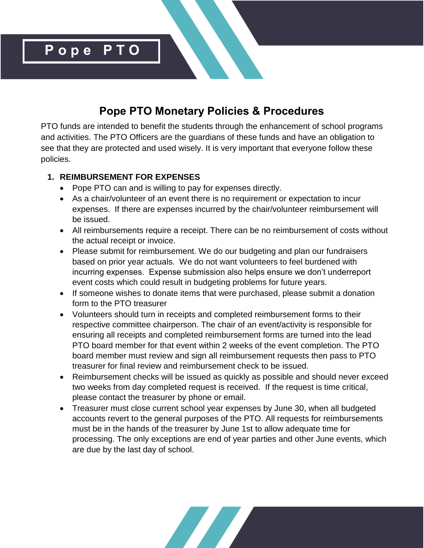

# **Pope PTO Monetary Policies & Procedures**

PTO funds are intended to benefit the students through the enhancement of school programs and activities. The PTO Officers are the guardians of these funds and have an obligation to see that they are protected and used wisely. It is very important that everyone follow these policies.

#### **1. REIMBURSEMENT FOR EXPENSES**

- Pope PTO can and is willing to pay for expenses directly.
- As a chair/volunteer of an event there is no requirement or expectation to incur expenses. If there are expenses incurred by the chair/volunteer reimbursement will be issued.
- All reimbursements require a receipt. There can be no reimbursement of costs without the actual receipt or invoice.
- Please submit for reimbursement. We do our budgeting and plan our fundraisers based on prior year actuals. We do not want volunteers to feel burdened with incurring expenses. Expense submission also helps ensure we don't underreport event costs which could result in budgeting problems for future years.
- If someone wishes to donate items that were purchased, please submit a donation form to the PTO treasurer
- Volunteers should turn in receipts and completed reimbursement forms to their respective committee chairperson. The chair of an event/activity is responsible for ensuring all receipts and completed reimbursement forms are turned into the lead PTO board member for that event within 2 weeks of the event completion. The PTO board member must review and sign all reimbursement requests then pass to PTO treasurer for final review and reimbursement check to be issued.
- Reimbursement checks will be issued as quickly as possible and should never exceed two weeks from day completed request is received. If the request is time critical, please contact the treasurer by phone or email.
- Treasurer must close current school year expenses by June 30, when all budgeted accounts revert to the general purposes of the PTO. All requests for reimbursements must be in the hands of the treasurer by June 1st to allow adequate time for processing. The only exceptions are end of year parties and other June events, which are due by the last day of school.

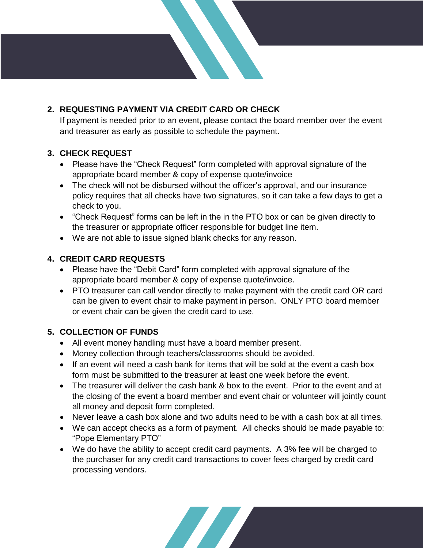## **2. REQUESTING PAYMENT VIA CREDIT CARD OR CHECK**

If payment is needed prior to an event, please contact the board member over the event and treasurer as early as possible to schedule the payment.

#### **3. CHECK REQUEST**

- Please have the "Check Request" form completed with approval signature of the appropriate board member & copy of expense quote/invoice
- The check will not be disbursed without the officer's approval, and our insurance policy requires that all checks have two signatures, so it can take a few days to get a check to you.
- "Check Request" forms can be left in the in the PTO box or can be given directly to the treasurer or appropriate officer responsible for budget line item.
- We are not able to issue signed blank checks for any reason.

## **4. CREDIT CARD REQUESTS**

- Please have the "Debit Card" form completed with approval signature of the appropriate board member & copy of expense quote/invoice.
- PTO treasurer can call vendor directly to make payment with the credit card OR card can be given to event chair to make payment in person. ONLY PTO board member or event chair can be given the credit card to use.

#### **5. COLLECTION OF FUNDS**

- All event money handling must have a board member present.
- Money collection through teachers/classrooms should be avoided.
- If an event will need a cash bank for items that will be sold at the event a cash box form must be submitted to the treasurer at least one week before the event.
- The treasurer will deliver the cash bank & box to the event. Prior to the event and at the closing of the event a board member and event chair or volunteer will jointly count all money and deposit form completed.
- Never leave a cash box alone and two adults need to be with a cash box at all times.
- We can accept checks as a form of payment. All checks should be made payable to: "Pope Elementary PTO"
- We do have the ability to accept credit card payments. A 3% fee will be charged to the purchaser for any credit card transactions to cover fees charged by credit card processing vendors.

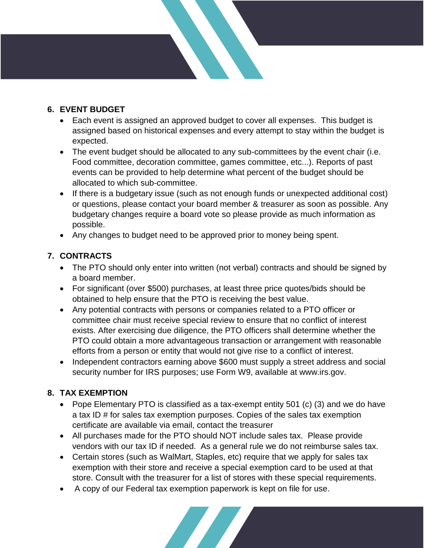#### **6. EVENT BUDGET**

- Each event is assigned an approved budget to cover all expenses. This budget is assigned based on historical expenses and every attempt to stay within the budget is expected.
- The event budget should be allocated to any sub-committees by the event chair (i.e. Food committee, decoration committee, games committee, etc...). Reports of past events can be provided to help determine what percent of the budget should be allocated to which sub-committee.
- If there is a budgetary issue (such as not enough funds or unexpected additional cost) or questions, please contact your board member & treasurer as soon as possible. Any budgetary changes require a board vote so please provide as much information as possible.
- Any changes to budget need to be approved prior to money being spent.

## **7. CONTRACTS**

- The PTO should only enter into written (not verbal) contracts and should be signed by a board member.
- For significant (over \$500) purchases, at least three price quotes/bids should be obtained to help ensure that the PTO is receiving the best value.
- Any potential contracts with persons or companies related to a PTO officer or committee chair must receive special review to ensure that no conflict of interest exists. After exercising due diligence, the PTO officers shall determine whether the PTO could obtain a more advantageous transaction or arrangement with reasonable efforts from a person or entity that would not give rise to a conflict of interest.
- Independent contractors earning above \$600 must supply a street address and social security number for IRS purposes; use Form W9, available at www.irs.gov.

#### **8. TAX EXEMPTION**

- Pope Elementary PTO is classified as a tax-exempt entity 501 (c) (3) and we do have a tax ID # for sales tax exemption purposes. Copies of the sales tax exemption certificate are available via email, contact the treasurer
- All purchases made for the PTO should NOT include sales tax. Please provide vendors with our tax ID if needed. As a general rule we do not reimburse sales tax.
- Certain stores (such as WalMart, Staples, etc) require that we apply for sales tax exemption with their store and receive a special exemption card to be used at that store. Consult with the treasurer for a list of stores with these special requirements.
- A copy of our Federal tax exemption paperwork is kept on file for use.